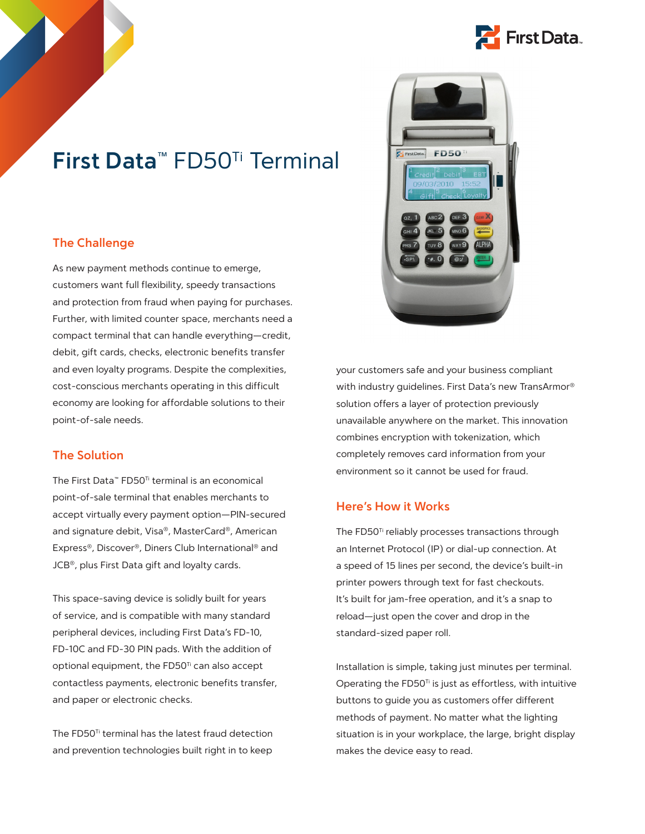

# **First Data™** FD50Ti Terminal

# **The Challenge**

As new payment methods continue to emerge, customers want full flexibility, speedy transactions and protection from fraud when paying for purchases. Further, with limited counter space, merchants need a compact terminal that can handle everything—credit, debit, gift cards, checks, electronic benefits transfer and even loyalty programs. Despite the complexities, cost-conscious merchants operating in this difficult economy are looking for affordable solutions to their point-of-sale needs.

# **The Solution**

The First Data™ FD50<sup>™</sup> terminal is an economical point-of-sale terminal that enables merchants to accept virtually every payment option—PIN-secured and signature debit, Visa®, MasterCard®, American Express®, Discover®, Diners Club International® and JCB®, plus First Data gift and loyalty cards.

This space-saving device is solidly built for years of service, and is compatible with many standard peripheral devices, including First Data's FD-10, FD-10C and FD-30 PIN pads. With the addition of optional equipment, the FD50<sup>Ti</sup> can also accept contactless payments, electronic benefits transfer, and paper or electronic checks.

The FD50<sup>Ti</sup> terminal has the latest fraud detection and prevention technologies built right in to keep



your customers safe and your business compliant with industry guidelines. First Data's new TransArmor® solution offers a layer of protection previously unavailable anywhere on the market. This innovation combines encryption with tokenization, which completely removes card information from your environment so it cannot be used for fraud.

## **Here's How it Works**

The FD50Ti reliably processes transactions through an Internet Protocol (IP) or dial-up connection. At a speed of 15 lines per second, the device's built-in printer powers through text for fast checkouts. It's built for jam-free operation, and it's a snap to reload—just open the cover and drop in the standard-sized paper roll.

Installation is simple, taking just minutes per terminal. Operating the  $FDSO<sup>Ti</sup>$  is just as effortless, with intuitive buttons to guide you as customers offer different methods of payment. No matter what the lighting situation is in your workplace, the large, bright display makes the device easy to read.